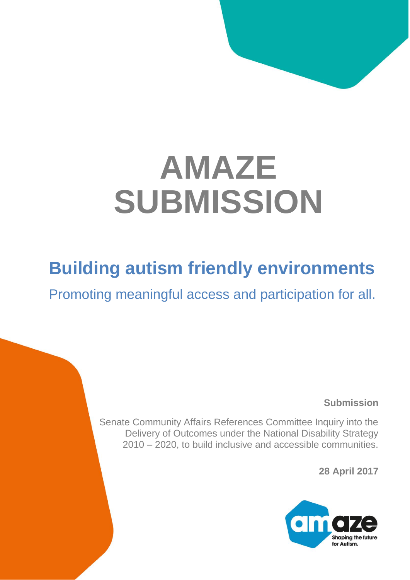# **AMAZE SUBMISSION**

# **Building autism friendly environments**

Promoting meaningful access and participation for all.

**Submission**

Senate Community Affairs References Committee Inquiry into the Delivery of Outcomes under the National Disability Strategy 2010 – 2020, to build inclusive and accessible communities.

**28 April 2017**

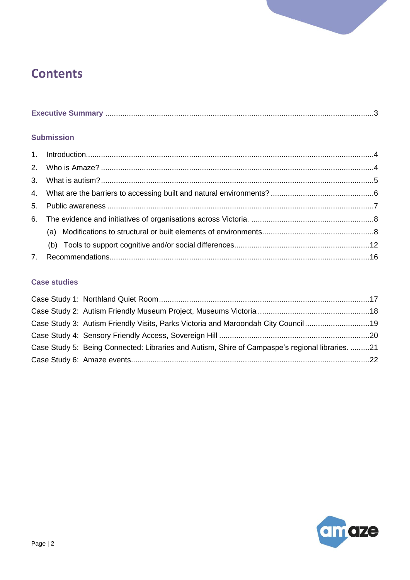# **Contents**

|--|--|--|

#### **Submission**

#### **Case studies**

| Case Study 3: Autism Friendly Visits, Parks Victoria and Maroondah City Council 19              |  |
|-------------------------------------------------------------------------------------------------|--|
|                                                                                                 |  |
| Case Study 5: Being Connected: Libraries and Autism, Shire of Campaspe's regional libraries. 21 |  |
|                                                                                                 |  |

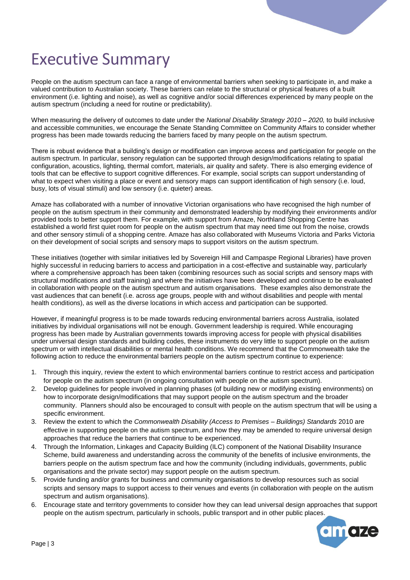# <span id="page-2-0"></span>Executive Summary

People on the autism spectrum can face a range of environmental barriers when seeking to participate in, and make a valued contribution to Australian society. These barriers can relate to the structural or physical features of a built environment (i.e. lighting and noise), as well as cognitive and/or social differences experienced by many people on the autism spectrum (including a need for routine or predictability).

When measuring the delivery of outcomes to date under the *National Disability Strategy 2010 – 2020,* to build inclusive and accessible communities, we encourage the Senate Standing Committee on Community Affairs to consider whether progress has been made towards reducing the barriers faced by many people on the autism spectrum.

There is robust evidence that a building's design or modification can improve access and participation for people on the autism spectrum. In particular, sensory regulation can be supported through design/modifications relating to spatial configuration, acoustics, lighting, thermal comfort, materials, air quality and safety. There is also emerging evidence of tools that can be effective to support cognitive differences. For example, social scripts can support understanding of what to expect when visiting a place or event and sensory maps can support identification of high sensory (i.e. loud, busy, lots of visual stimuli) and low sensory (i.e. quieter) areas.

Amaze has collaborated with a number of innovative Victorian organisations who have recognised the high number of people on the autism spectrum in their community and demonstrated leadership by modifying their environments and/or provided tools to better support them. For example, with support from Amaze, Northland Shopping Centre has established a world first quiet room for people on the autism spectrum that may need time out from the noise, crowds and other sensory stimuli of a shopping centre. Amaze has also collaborated with Museums Victoria and Parks Victoria on their development of social scripts and sensory maps to support visitors on the autism spectrum.

These initiatives (together with similar initiatives led by Sovereign Hill and Campaspe Regional Libraries) have proven highly successful in reducing barriers to access and participation in a cost-effective and sustainable way, particularly where a comprehensive approach has been taken (combining resources such as social scripts and sensory maps with structural modifications and staff training) and where the initiatives have been developed and continue to be evaluated in collaboration with people on the autism spectrum and autism organisations. These examples also demonstrate the vast audiences that can benefit (i.e. across age groups, people with and without disabilities and people with mental health conditions), as well as the diverse locations in which access and participation can be supported.

However, if meaningful progress is to be made towards reducing environmental barriers across Australia, isolated initiatives by individual organisations will not be enough. Government leadership is required. While encouraging progress has been made by Australian governments towards improving access for people with physical disabilities under universal design standards and building codes, these instruments do very little to support people on the autism spectrum or with intellectual disabilities or mental health conditions. We recommend that the Commonwealth take the following action to reduce the environmental barriers people on the autism spectrum continue to experience:

- 1. Through this inquiry, review the extent to which environmental barriers continue to restrict access and participation for people on the autism spectrum (in ongoing consultation with people on the autism spectrum).
- 2. Develop guidelines for people involved in planning phases (of building new or modifying existing environments) on how to incorporate design/modifications that may support people on the autism spectrum and the broader community. Planners should also be encouraged to consult with people on the autism spectrum that will be using a specific environment.
- 3. Review the extent to which the *Commonwealth Disability (Access to Premises – Buildings) Standards* 2010 are effective in supporting people on the autism spectrum, and how they may be amended to require universal design approaches that reduce the barriers that continue to be experienced.
- 4. Through the Information, Linkages and Capacity Building (ILC) component of the National Disability Insurance Scheme, build awareness and understanding across the community of the benefits of inclusive environments, the barriers people on the autism spectrum face and how the community (including individuals, governments, public organisations and the private sector) may support people on the autism spectrum.
- 5. Provide funding and/or grants for business and community organisations to develop resources such as social scripts and sensory maps to support access to their venues and events (in collaboration with people on the autism spectrum and autism organisations).
- 6. Encourage state and territory governments to consider how they can lead universal design approaches that support people on the autism spectrum, particularly in schools, public transport and in other public places.

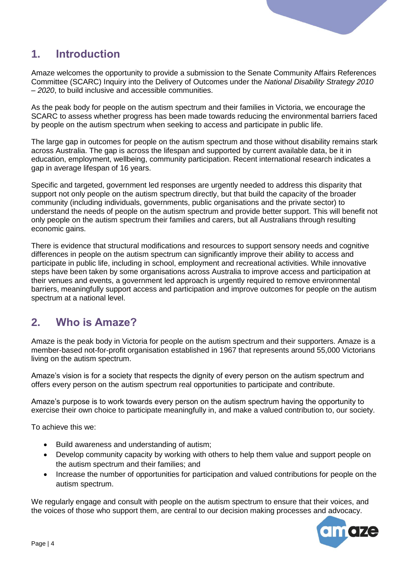

# <span id="page-3-0"></span>**1. Introduction**

Amaze welcomes the opportunity to provide a submission to the Senate Community Affairs References Committee (SCARC) Inquiry into the Delivery of Outcomes under the *National Disability Strategy 2010 – 2020*, to build inclusive and accessible communities.

As the peak body for people on the autism spectrum and their families in Victoria, we encourage the SCARC to assess whether progress has been made towards reducing the environmental barriers faced by people on the autism spectrum when seeking to access and participate in public life.

The large gap in outcomes for people on the autism spectrum and those without disability remains stark across Australia. The gap is across the lifespan and supported by current available data, be it in education, employment, wellbeing, community participation. Recent international research indicates a gap in average lifespan of 16 years.

Specific and targeted, government led responses are urgently needed to address this disparity that support not only people on the autism spectrum directly, but that build the capacity of the broader community (including individuals, governments, public organisations and the private sector) to understand the needs of people on the autism spectrum and provide better support. This will benefit not only people on the autism spectrum their families and carers, but all Australians through resulting economic gains.

There is evidence that structural modifications and resources to support sensory needs and cognitive differences in people on the autism spectrum can significantly improve their ability to access and participate in public life, including in school, employment and recreational activities. While innovative steps have been taken by some organisations across Australia to improve access and participation at their venues and events, a government led approach is urgently required to remove environmental barriers, meaningfully support access and participation and improve outcomes for people on the autism spectrum at a national level.

# <span id="page-3-1"></span>**2. Who is Amaze?**

Amaze is the peak body in Victoria for people on the autism spectrum and their supporters. Amaze is a member-based not-for-profit organisation established in 1967 that represents around 55,000 Victorians living on the autism spectrum.

Amaze's vision is for a society that respects the dignity of every person on the autism spectrum and offers every person on the autism spectrum real opportunities to participate and contribute.

Amaze's purpose is to work towards every person on the autism spectrum having the opportunity to exercise their own choice to participate meaningfully in, and make a valued contribution to, our society.

To achieve this we:

- Build awareness and understanding of autism;
- Develop community capacity by working with others to help them value and support people on the autism spectrum and their families; and
- Increase the number of opportunities for participation and valued contributions for people on the autism spectrum.

We regularly engage and consult with people on the autism spectrum to ensure that their voices, and the voices of those who support them, are central to our decision making processes and advocacy.

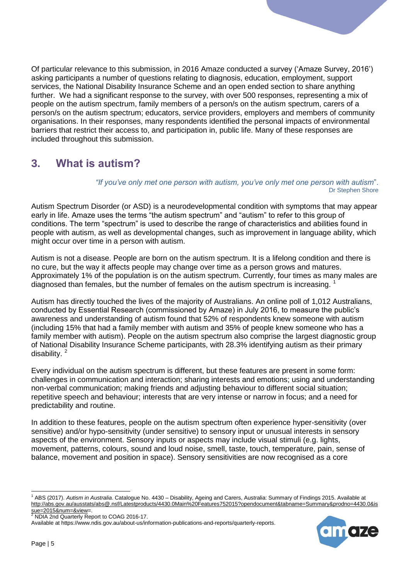Of particular relevance to this submission, in 2016 Amaze conducted a survey ('Amaze Survey, 2016') asking participants a number of questions relating to diagnosis, education, employment, support services, the National Disability Insurance Scheme and an open ended section to share anything further. We had a significant response to the survey, with over 500 responses, representing a mix of people on the autism spectrum, family members of a person/s on the autism spectrum, carers of a person/s on the autism spectrum; educators, service providers, employers and members of community organisations. In their responses, many respondents identified the personal impacts of environmental barriers that restrict their access to, and participation in, public life. Many of these responses are included throughout this submission.

# <span id="page-4-0"></span>**3. What is autism?**

#### *"If you've only met one person with autism, you've only met one person with autism*". Dr Stephen Shore

Autism Spectrum Disorder (or ASD) is a neurodevelopmental condition with symptoms that may appear early in life. Amaze uses the terms "the autism spectrum" and "autism" to refer to this group of conditions. The term "spectrum" is used to describe the range of characteristics and abilities found in people with autism, as well as developmental changes, such as improvement in language ability, which might occur over time in a person with autism.

Autism is not a disease. People are born on the autism spectrum. It is a lifelong condition and there is no cure, but the way it affects people may change over time as a person grows and matures. Approximately 1% of the population is on the autism spectrum. Currently, four times as many males are diagnosed than females, but the number of females on the autism spectrum is increasing.  $1$ 

Autism has directly touched the lives of the majority of Australians. An online poll of 1,012 Australians, conducted by Essential Research (commissioned by Amaze) in July 2016, to measure the public's awareness and understanding of autism found that 52% of respondents knew someone with autism (including 15% that had a family member with autism and 35% of people knew someone who has a family member with autism). People on the autism spectrum also comprise the largest diagnostic group of National Disability Insurance Scheme participants, with 28.3% identifying autism as their primary disability. $2$ 

Every individual on the autism spectrum is different, but these features are present in some form: challenges in communication and interaction; sharing interests and emotions; using and understanding non-verbal communication; making friends and adjusting behaviour to different social situation; repetitive speech and behaviour; interests that are very intense or narrow in focus; and a need for predictability and routine.

In addition to these features, people on the autism spectrum often experience hyper-sensitivity (over sensitive) and/or hypo-sensitivity (under sensitive) to sensory input or unusual interests in sensory aspects of the environment. Sensory inputs or aspects may include visual stimuli (e.g. lights, movement, patterns, colours, sound and loud noise, smell, taste, touch, temperature, pain, sense of balance, movement and position in space). Sensory sensitivities are now recognised as a core



<sup>1</sup> ABS (2017). *Autism in Australia*. Catalogue No. 4430 – Disability, Ageing and Carers, Australia: Summary of Findings 2015. Available at [http://abs.gov.au/ausstats/abs@.nsf/Latestproducts/4430.0Main%20Features752015?opendocument&tabname=Summary&prodno=4430.0&is](http://abs.gov.au/ausstats/abs@.nsf/Latestproducts/4430.0Main%20Features752015?opendocument&tabname=Summary&prodno=4430.0&issue=2015&num=&view) [sue=2015&num=&view=](http://abs.gov.au/ausstats/abs@.nsf/Latestproducts/4430.0Main%20Features752015?opendocument&tabname=Summary&prodno=4430.0&issue=2015&num=&view).

NDIA 2nd Quarterly Report to COAG 2016-17.

Available at https://www.ndis.gov.au/about-us/information-publications-and-reports/quarterly-reports.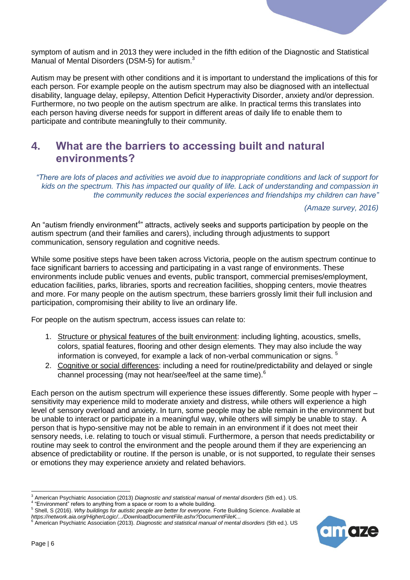

symptom of autism and in 2013 they were included in the fifth edition of the Diagnostic and Statistical Manual of Mental Disorders (DSM-5) for autism. $3$ 

Autism may be present with other conditions and it is important to understand the implications of this for each person. For example people on the autism spectrum may also be diagnosed with an intellectual disability, language delay, epilepsy, Attention Deficit Hyperactivity Disorder, anxiety and/or depression. Furthermore, no two people on the autism spectrum are alike. In practical terms this translates into each person having diverse needs for support in different areas of daily life to enable them to participate and contribute meaningfully to their community.

### <span id="page-5-0"></span>**4. What are the barriers to accessing built and natural environments?**

*"There are lots of places and activities we avoid due to inappropriate conditions and lack of support for kids on the spectrum. This has impacted our quality of life. Lack of understanding and compassion in the community reduces the social experiences and friendships my children can have"*

*(Amaze survey, 2016)*

An "autism friendly environment<sup>4</sup>" attracts, actively seeks and supports participation by people on the autism spectrum (and their families and carers), including through adjustments to support communication, sensory regulation and cognitive needs.

While some positive steps have been taken across Victoria, people on the autism spectrum continue to face significant barriers to accessing and participating in a vast range of environments. These environments include public venues and events, public transport, commercial premises/employment, education facilities, parks, libraries, sports and recreation facilities, shopping centers, movie theatres and more. For many people on the autism spectrum, these barriers grossly limit their full inclusion and participation, compromising their ability to live an ordinary life.

For people on the autism spectrum, access issues can relate to:

- 1. Structure or physical features of the built environment: including lighting, acoustics, smells, colors, spatial features, flooring and other design elements. They may also include the way information is conveyed, for example a lack of non-verbal communication or signs. <sup>5</sup>
- 2. Cognitive or social differences: including a need for routine/predictability and delayed or single channel processing (may not hear/see/feel at the same time).<sup>6</sup>

Each person on the autism spectrum will experience these issues differently. Some people with hyper – sensitivity may experience mild to moderate anxiety and distress, while others will experience a high level of sensory overload and anxiety. In turn, some people may be able remain in the environment but be unable to interact or participate in a meaningful way, while others will simply be unable to stay. A person that is hypo-sensitive may not be able to remain in an environment if it does not meet their sensory needs, i.e. relating to touch or visual stimuli. Furthermore, a person that needs predictability or routine may seek to control the environment and the people around them if they are experiencing an absence of predictability or routine. If the person is unable, or is not supported, to regulate their senses or emotions they may experience anxiety and related behaviors.

<sup>6</sup> American Psychiatric Association (2013). *Diagnostic and statistical manual of mental disorders* (5th ed.). US



<sup>3</sup> American Psychiatric Association (2013) *Diagnostic and statistical manual of mental disorders* (5th ed.). US. 4

<sup>&</sup>quot;Environment" refers to anything from a space or room to a whole building.

<sup>5</sup> Shell, S (2016). *Why buildings for autistic people are better for everyone.* Forte Building Science. Available at *https://network.aia.org/HigherLogic/.../DownloadDocumentFile.ashx?DocumentFileK...*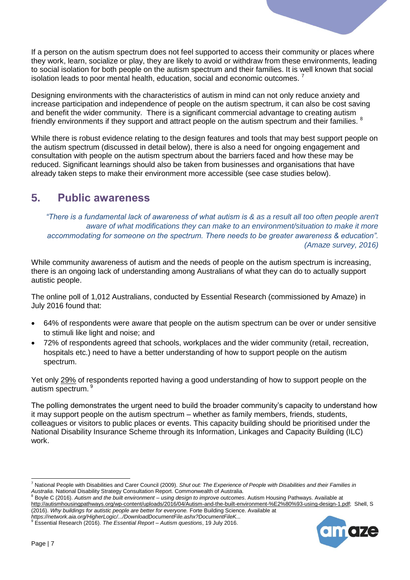If a person on the autism spectrum does not feel supported to access their community or places where they work, learn, socialize or play, they are likely to avoid or withdraw from these environments, leading to social isolation for both people on the autism spectrum and their families. It is well known that social isolation leads to poor mental health, education, social and economic outcomes.  $<sup>7</sup>$ </sup>

Designing environments with the characteristics of autism in mind can not only reduce anxiety and increase participation and independence of people on the autism spectrum, it can also be cost saving and benefit the wider community. There is a significant commercial advantage to creating autism friendly environments if they support and attract people on the autism spectrum and their families. <sup>8</sup>

While there is robust evidence relating to the design features and tools that may best support people on the autism spectrum (discussed in detail below), there is also a need for ongoing engagement and consultation with people on the autism spectrum about the barriers faced and how these may be reduced. Significant learnings should also be taken from businesses and organisations that have already taken steps to make their environment more accessible (see case studies below).

## <span id="page-6-0"></span>**5. Public awareness**

*"There is a fundamental lack of awareness of what autism is & as a result all too often people aren't aware of what modifications they can make to an environment/situation to make it more accommodating for someone on the spectrum. There needs to be greater awareness & education". (Amaze survey, 2016)*

While community awareness of autism and the needs of people on the autism spectrum is increasing, there is an ongoing lack of understanding among Australians of what they can do to actually support autistic people.

The online poll of 1,012 Australians, conducted by Essential Research (commissioned by Amaze) in July 2016 found that:

- 64% of respondents were aware that people on the autism spectrum can be over or under sensitive to stimuli like light and noise; and
- 72% of respondents agreed that schools, workplaces and the wider community (retail, recreation, hospitals etc.) need to have a better understanding of how to support people on the autism spectrum.

Yet only 29% of respondents reported having a good understanding of how to support people on the autism spectrum.<sup>9</sup>

The polling demonstrates the urgent need to build the broader community's capacity to understand how it may support people on the autism spectrum – whether as family members, friends, students, colleagues or visitors to public places or events. This capacity building should be prioritised under the National Disability Insurance Scheme through its Information, Linkages and Capacity Building (ILC) work.



<sup>-</sup><sup>7</sup> National People with Disabilities and Carer Council (2009). *Shut out: The Experience of People with Disabilities and their Families in*  Australia. National Disability Strategy Consultation Report. Commonwealth of Australia.<br><sup>8</sup> Boyle C (2016). Authority Strategy Consultation Report. Commonwealth of Australia.

<sup>8</sup> Boyle C (2016). *Autism and the built environment – using design to improve outcomes*. Autism Housing Pathways. Available at [http://autismhousingpathways.org/wp-content/uploads/2016/04/Autism-and-the-built-environment-%E2%80%93-using-design-1.pdf;](http://autismhousingpathways.org/wp-content/uploads/2016/04/Autism-and-the-built-environment-%E2%80%93-using-design-1.pdf) Shell, S (2016). *Why buildings for autistic people are better for everyone.* Forte Building Science. Available at

*https://network.aia.org/HigherLogic/.../DownloadDocumentFile.ashx?DocumentFileK...* <sup>9</sup> Essential Research (2016). *The Essential Report – Autism questions*, 19 July 2016.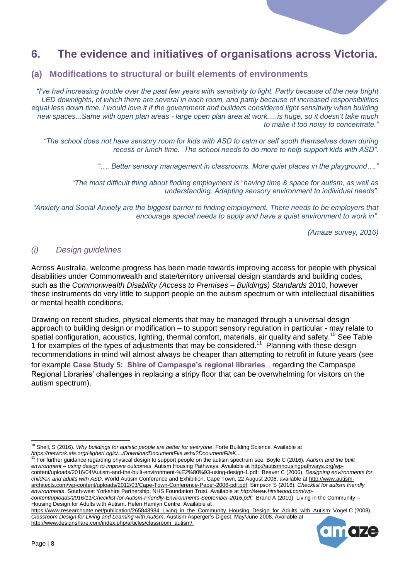## <span id="page-7-0"></span>**6. The evidence and initiatives of organisations across Victoria.**

#### <span id="page-7-1"></span>**(a) Modifications to structural or built elements of environments**

*"I've had increasing trouble over the past few years with sensitivity to light. Partly because of the new bright LED downlights, of which there are several in each room, and partly because of increased responsibilities equal less down time. I would love it if the government and builders considered light sensitivity when building new spaces...Same with open plan areas - large open plan area at work.....is huge, so it doesn't take much to make it too noisy to concentrate."* 

*"The school does not have sensory room for kids with ASD to calm or self sooth themselves down during recess or lunch time. The school needs to do more to help support kids with ASD".* 

*"…. Better sensory management in classrooms. More quiet places in the playground…."* 

"*The most difficult thing about finding employment is* "*having time & space for autism, as well as understanding. Adapting sensory environment to individual needs".*

*"Anxiety and Social Anxiety are the biggest barrier to finding employment. There needs to be employers that encourage special needs to apply and have a quiet environment to work in".* 

*(Amaze survey, 2016)*

#### *(i) Design guidelines*

Across Australia, welcome progress has been made towards improving access for people with physical disabilities under Commonwealth and state/territory universal design standards and building codes, such as the *Commonwealth Disability (Access to Premises – Buildings) Standards* 2010, however these instruments do very little to support people on the autism spectrum or with intellectual disabilities or mental health conditions.

Drawing on recent studies, physical elements that may be managed through a universal design approach to building design or modification – to support sensory regulation in particular - may relate to spatial configuration, acoustics, lighting, thermal comfort, materials, air quality and safety.<sup>10</sup> See Table 1 for examples of the types of adjustments that may be considered.<sup>11</sup> Planning with these design recommendations in mind will almost always be cheaper than attempting to retrofit in future years (see

for example **[Case Study 5: Shire of Campaspe's regional libraries](#page-20-0)**., regarding the Campaspe Regional Libraries' challenges in replacing a stripy floor that can be overwhelming for visitors on the autism spectrum).

<sup>11</sup> For further guidance regarding physical design to support people on the autism spectrum see: Boyle C (2016). *Autism and the built environment – using design to improve outcomes*. Autism Housing Pathways. Available at [http://autismhousingpathways.org/wp](http://autismhousingpathways.org/wp-content/uploads/2016/04/Autism-and-the-built-environment-%E2%80%93-using-design-1.pdf)[content/uploads/2016/04/Autism-and-the-built-environment-%E2%80%93-using-design-1.pdf;](http://autismhousingpathways.org/wp-content/uploads/2016/04/Autism-and-the-built-environment-%E2%80%93-using-design-1.pdf) Beaver C (2006). *Designing environments for children and adults with ASD*. World Autism Conference and Exhibition, Cape Town, 22 August 2006, available a[t http://www.autism](http://www.autism-architects.com/wp-content/uploads/2012/03/Cape-Town-Conference-Paper-2006-pdf.pdf)[architects.com/wp-content/uploads/2012/03/Cape-Town-Conference-Paper-2006-pdf.pdf;](http://www.autism-architects.com/wp-content/uploads/2012/03/Cape-Town-Conference-Paper-2006-pdf.pdf) Simpson S (2016). *Checklist for autism friendly environments*. South-west Yorkshire Partnership, NHS Foundation Trust. Available at *[http://www.hirstwood.com/wp-](http://www.hirstwood.com/wp-content/uploads/2016/11/Checklist-for-Autism-Friendly-Environments-September-2016.pdf)*

*[content/uploads/2016/11/Checklist-for-Autism-Friendly-Environments-September-2016.pdf;](http://www.hirstwood.com/wp-content/uploads/2016/11/Checklist-for-Autism-Friendly-Environments-September-2016.pdf)* Brand A (2010). Living in the Community – Housing Design for Adults with Autism. Helen Hamlyn Centre. Available at

[https://www.researchgate.net/publication/265843984\\_Living\\_in\\_the\\_Community\\_Housing\\_Design\\_for\\_Adults\\_with\\_Autism;](https://www.researchgate.net/publication/265843984_Living_in_the_Community_Housing_Design_for_Adults_with_Autism) Vogel C (2008). *Classroom Design for Living and Learning with Autism*. Austism Asperger's Digest. May/June 2008. Available at [http://www.designshare.com/index.php/articles/classroom\\_autism/.](http://www.designshare.com/index.php/articles/classroom_autism/)



<sup>&</sup>lt;sup>10</sup> Shell, S (2016). *Why buildings for autistic people are better for everyone*. Forte Building Science. Available at *https://network.aia.org/HigherLogic/.../DownloadDocumentFile.ashx?DocumentFileK...*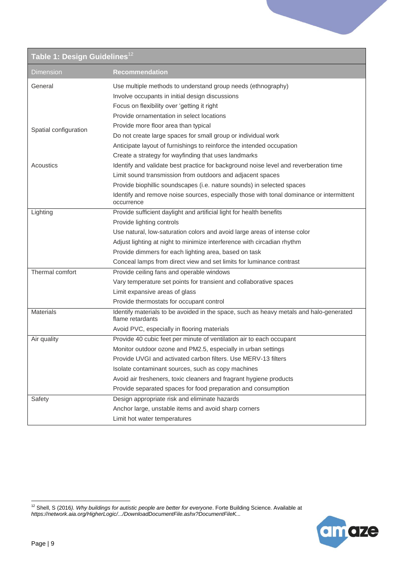| Table 1: Design Guidelines <sup>12</sup> |                                                                                                            |  |
|------------------------------------------|------------------------------------------------------------------------------------------------------------|--|
| Dimension                                | <b>Recommendation</b>                                                                                      |  |
| General                                  | Use multiple methods to understand group needs (ethnography)                                               |  |
|                                          | Involve occupants in initial design discussions                                                            |  |
|                                          | Focus on flexibility over 'getting it right                                                                |  |
|                                          | Provide ornamentation in select locations                                                                  |  |
| Spatial configuration                    | Provide more floor area than typical                                                                       |  |
|                                          | Do not create large spaces for small group or individual work                                              |  |
|                                          | Anticipate layout of furnishings to reinforce the intended occupation                                      |  |
|                                          | Create a strategy for wayfinding that uses landmarks                                                       |  |
| Acoustics                                | Identify and validate best practice for background noise level and reverberation time                      |  |
|                                          | Limit sound transmission from outdoors and adjacent spaces                                                 |  |
|                                          | Provide biophillic soundscapes (i.e. nature sounds) in selected spaces                                     |  |
|                                          | Identify and remove noise sources, especially those with tonal dominance or intermittent<br>occurrence     |  |
| Lighting                                 | Provide sufficient daylight and artificial light for health benefits                                       |  |
|                                          | Provide lighting controls                                                                                  |  |
|                                          | Use natural, low-saturation colors and avoid large areas of intense color                                  |  |
|                                          | Adjust lighting at night to minimize interference with circadian rhythm                                    |  |
|                                          | Provide dimmers for each lighting area, based on task                                                      |  |
|                                          | Conceal lamps from direct view and set limits for luminance contrast                                       |  |
| Thermal comfort                          | Provide ceiling fans and operable windows                                                                  |  |
|                                          | Vary temperature set points for transient and collaborative spaces                                         |  |
|                                          | Limit expansive areas of glass                                                                             |  |
|                                          | Provide thermostats for occupant control                                                                   |  |
| <b>Materials</b>                         | Identify materials to be avoided in the space, such as heavy metals and halo-generated<br>flame retardants |  |
|                                          | Avoid PVC, especially in flooring materials                                                                |  |
| Air quality                              | Provide 40 cubic feet per minute of ventilation air to each occupant                                       |  |
|                                          | Monitor outdoor ozone and PM2.5, especially in urban settings                                              |  |
|                                          | Provide UVGI and activated carbon filters. Use MERV-13 filters                                             |  |
|                                          | Isolate contaminant sources, such as copy machines                                                         |  |
|                                          | Avoid air fresheners, toxic cleaners and fragrant hygiene products                                         |  |
|                                          | Provide separated spaces for food preparation and consumption                                              |  |
| Safety                                   | Design appropriate risk and eliminate hazards                                                              |  |
|                                          | Anchor large, unstable items and avoid sharp corners                                                       |  |
|                                          | Limit hot water temperatures                                                                               |  |

<sup>-</sup><sup>12</sup> Shell, S (2016*). Why buildings for autistic people are better for everyone*. Forte Building Science. Available at *https://network.aia.org/HigherLogic/.../DownloadDocumentFile.ashx?DocumentFileK...*

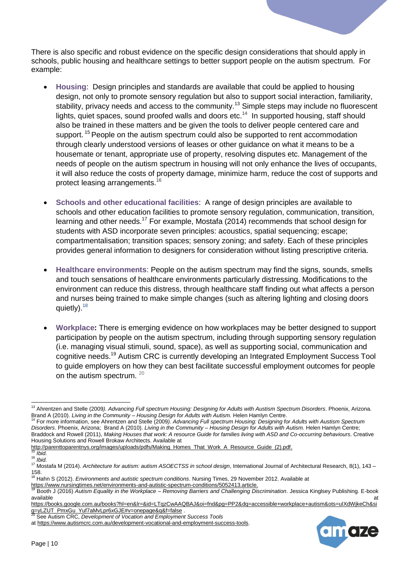There is also specific and robust evidence on the specific design considerations that should apply in schools, public housing and healthcare settings to better support people on the autism spectrum. For example:

- **Housing**:Design principles and standards are available that could be applied to housing design, not only to promote sensory regulation but also to support social interaction, familiarity, stability, privacy needs and access to the community.<sup>13</sup> Simple steps may include no fluorescent lights, quiet spaces, sound proofed walls and doors etc.<sup>14</sup> In supported housing, staff should also be trained in these matters and be given the tools to deliver people centered care and support.<sup>15</sup> People on the autism spectrum could also be supported to rent accommodation through clearly understood versions of leases or other guidance on what it means to be a housemate or tenant, appropriate use of property, resolving disputes etc. Management of the needs of people on the autism spectrum in housing will not only enhance the lives of occupants, it will also reduce the costs of property damage, minimize harm, reduce the cost of supports and protect leasing arrangements.<sup>16</sup>
- **Schools and other educational facilities**: A range of design principles are available to schools and other education facilities to promote sensory regulation, communication, transition, learning and other needs.<sup>17</sup> For example, Mostafa (2014) recommends that school design for students with ASD incorporate seven principles: acoustics, spatial sequencing; escape; compartmentalisation; transition spaces; sensory zoning; and safety. Each of these principles provides general information to designers for consideration without listing prescriptive criteria.
- **Healthcare environments**: People on the autism spectrum may find the signs, sounds, smells and touch sensations of healthcare environments particularly distressing. Modifications to the environment can reduce this distress, through healthcare staff finding out what affects a person and nurses being trained to make simple changes (such as altering lighting and closing doors quietly).  $18$
- **Workplace:** There is emerging evidence on how workplaces may be better designed to support participation by people on the autism spectrum, including through supporting sensory regulation (i.e. managing visual stimuli, sound, space), as well as supporting social, communication and cognitive needs.<sup>19</sup> Autism CRC is currently developing an Integrated Employment Success Tool to guide employers on how they can best facilitate successful employment outcomes for people on the autism spectrum.  $20$



<sup>-</sup><sup>13</sup> Ahrentzen and Stelle (2009*). Advancing Full spectrum Housing: Designing for Adults with Austism Spectrum Disorders*. Phoenix, Arizona. Brand A (2010). *Living in the Community – Housing Design for Adults with Autism.* Helen Hamlyn Centre.

<sup>14</sup> For more information, see Ahrentzen and Stelle (2009*). Advancing Full spectrum Housing: Designing for Adults with Austism Spectrum Disorders*. Phoenix, Arizona; Brand A (2010). *Living in the Community – Housing Design for Adults with Autism.* Helen Hamlyn Centre; Braddock and Rowell (2011), *Making Houses that work: A resource Guide for families living with ASD and Co-occurring behaviours*. Creative Housing Solutions and Rowell Brokaw Architects. Available at

[http://parenttoparentnys.org/images/uploads/pdfs/Making\\_Homes\\_That\\_Work\\_A\\_Resource\\_Guide\\_\(2\).pdf.](http://parenttoparentnys.org/images/uploads/pdfs/Making_Homes_That_Work_A_Resource_Guide_(2).pdf) 

<sup>15</sup> *Ibid.* <sup>16</sup> *Ibid.*

<sup>17</sup> Mostafa M (2014). *Architecture for autism: autism ASOECTSS in school design*, International Journal of Architectural Research, 8(1), 143 – 158.

<sup>18</sup> Hahn S (2012). *Environments and autistic spectrum conditions*. Nursing Times, 29 November 2012. Available at

[https://www.nursingtimes.net/environments-and-autistic-spectrum-conditions/5052413.article.](https://www.nursingtimes.net/environments-and-autistic-spectrum-conditions/5052413.article)

<sup>19</sup> Booth J (2016) *Autism Equality in the Workplace – Removing Barriers and Challenging Discrimination*. Jessica Kinglsey Publishing. E-book  $a$ vailable at  $a$ t at  $a$ t at  $a$ t at  $a$ t at  $a$ t at  $a$ t at  $a$ t at  $a$ t at  $a$ t at  $a$ t at  $a$ t at  $a$ t at  $a$ t at  $a$ t at  $a$ t at  $a$ t at  $a$ t at  $a$ t at  $a$ t at  $a$ t at  $a$ t at  $a$ t at  $a$ t at  $a$ t at  $a$ t at  $a$ t a

[https://books.google.com.au/books?hl=en&lr=&id=LTqzCwAAQBAJ&oi=fnd&pg=PP2&dq=accessible+workplace+autism&ots=uIXdWjkeCh&si](https://books.google.com.au/books?hl=en&lr=&id=LTqzCwAAQBAJ&oi=fnd&pg=PP2&dq=accessible+workplace+autism&ots=uIXdWjkeCh&sig=yLZUT_PmxGu_Yuf7aMvLpr6xGJE#v=onepage&q&f=false)

[g=yLZUT\\_PmxGu\\_Yuf7aMvLpr6xGJE#v=onepage&q&f=false](https://books.google.com.au/books?hl=en&lr=&id=LTqzCwAAQBAJ&oi=fnd&pg=PP2&dq=accessible+workplace+autism&ots=uIXdWjkeCh&sig=yLZUT_PmxGu_Yuf7aMvLpr6xGJE#v=onepage&q&f=false) . <sup>20</sup> See Autism CRC, *Development of Vocation and Employment Success Tools*

a[t https://www.autismcrc.com.au/development-vocational-and-employment-success-tools.](https://www.autismcrc.com.au/development-vocational-and-employment-success-tools)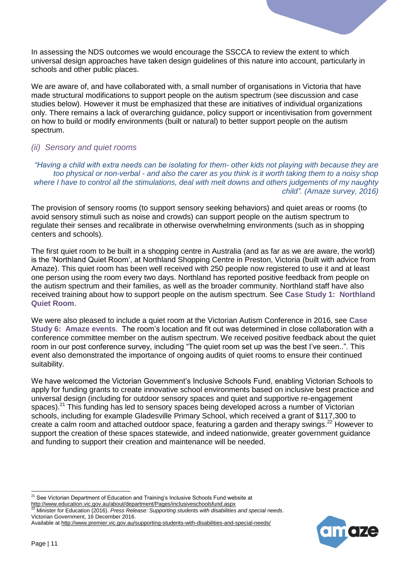In assessing the NDS outcomes we would encourage the SSCCA to review the extent to which universal design approaches have taken design guidelines of this nature into account, particularly in schools and other public places.

We are aware of, and have collaborated with, a small number of organisations in Victoria that have made structural modifications to support people on the autism spectrum (see discussion and case studies below). However it must be emphasized that these are initiatives of individual organizations only. There remains a lack of overarching guidance, policy support or incentivisation from government on how to build or modify environments (built or natural) to better support people on the autism spectrum.

#### *(ii) Sensory and quiet rooms*

*"Having a child with extra needs can be isolating for them- other kids not playing with because they are too physical or non-verbal - and also the carer as you think is it worth taking them to a noisy shop where I have to control all the stimulations, deal with melt downs and others judgements of my naughty child". (Amaze survey, 2016)*

The provision of sensory rooms (to support sensory seeking behaviors) and quiet areas or rooms (to avoid sensory stimuli such as noise and crowds) can support people on the autism spectrum to regulate their senses and recalibrate in otherwise overwhelming environments (such as in shopping centers and schools).

The first quiet room to be built in a shopping centre in Australia (and as far as we are aware, the world) is the 'Northland Quiet Room', at Northland Shopping Centre in Preston, Victoria (built with advice from Amaze). This quiet room has been well received with 250 people now registered to use it and at least one person using the room every two days. Northland has reported positive feedback from people on the autism spectrum and their families, as well as the broader community. Northland staff have also received training about how to support people on the autism spectrum. See **[Case Study 1: Northland](#page-16-0)  [Quiet Room](#page-16-0)**.

We were also pleased to include a quiet room at the Victorian Autism Conference in 2016, see **[Case](#page-21-1)  [Study 6: Amaze events](#page-21-1)**. The room's location and fit out was determined in close collaboration with a conference committee member on the autism spectrum. We received positive feedback about the quiet room in our post conference survey, including "The quiet room set up was the best I've seen..". This event also demonstrated the importance of ongoing audits of quiet rooms to ensure their continued suitability.

We have welcomed the Victorian Government's Inclusive Schools Fund, enabling Victorian Schools to apply for funding grants to create innovative school environments based on inclusive best practice and universal design (including for outdoor sensory spaces and quiet and supportive re-engagement spaces).<sup>21</sup> This funding has led to sensory spaces being developed across a number of Victorian schools, including for example Gladesville Primary School, which received a grant of \$117,300 to create a calm room and attached outdoor space, featuring a garden and therapy swings. $^{22}$  However to support the creation of these spaces statewide, and indeed nationwide, greater government guidance and funding to support their creation and maintenance will be needed.



<sup>&</sup>lt;sup>21</sup> See Victorian Department of Education and Training's Inclusive Schools Fund website at

<http://www.education.vic.gov.au/about/department/Pages/inclusiveschoolsfund.aspx> <sup>22</sup> Minister for Education (2016). *Press Release: Supporting students with disabilities and special needs*. Victorian Government, 16 December 2016.

Available at<http://www.premier.vic.gov.au/supporting-students-with-disabilities-and-special-needs/>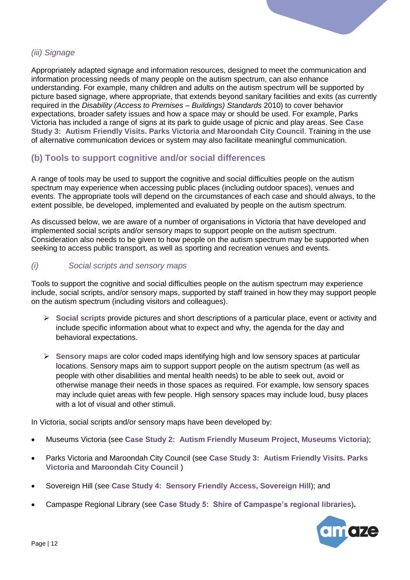#### *(iii) Signage*

Appropriately adapted signage and information resources, designed to meet the communication and information processing needs of many people on the autism spectrum, can also enhance understanding. For example, many children and adults on the autism spectrum will be supported by picture based signage, where appropriate, that extends beyond sanitary facilities and exits (as currently required in the *Disability (Access to Premises – Buildings) Standards* 2010) to cover behavior expectations, broader safety issues and how a space may or should be used. For example, Parks Victoria has included a range of signs at its park to guide usage of picnic and play areas. See **[Case](#page-18-0)  [Study 3: Autism Friendly Visits. Parks Victoria and Maroondah City Council](#page-18-0)**. Training in the use of alternative communication devices or system may also facilitate meaningful communication.

#### <span id="page-11-0"></span>**(b) Tools to support cognitive and/or social differences**

A range of tools may be used to support the cognitive and social difficulties people on the autism spectrum may experience when accessing public places (including outdoor spaces), venues and events. The appropriate tools will depend on the circumstances of each case and should always, to the extent possible, be developed, implemented and evaluated by people on the autism spectrum.

As discussed below, we are aware of a number of organisations in Victoria that have developed and implemented social scripts and/or sensory maps to support people on the autism spectrum. Consideration also needs to be given to how people on the autism spectrum may be supported when seeking to access public transport, as well as sporting and recreation venues and events.

#### *(i) Social scripts and sensory maps*

Tools to support the cognitive and social difficulties people on the autism spectrum may experience include, social scripts, and/or sensory maps, supported by staff trained in how they may support people on the autism spectrum (including visitors and colleagues).

- **Social scripts** provide pictures and short descriptions of a particular place, event or activity and include specific information about what to expect and why, the agenda for the day and behavioral expectations.
- **Sensory maps** are color coded maps identifying high and low sensory spaces at particular locations. Sensory maps aim to support support people on the autism spectrum (as well as people with other disabilities and mental health needs) to be able to seek out, avoid or otherwise manage their needs in those spaces as required. For example, low sensory spaces may include quiet areas with few people. High sensory spaces may include loud, busy places with a lot of visual and other stimuli.

In Victoria, social scripts and/or sensory maps have been developed by:

- Museums Victoria (see **[Case Study 2: Autism Friendly Museum Project, Museums Victoria](#page-17-0)**);
- Parks Victoria and Maroondah City Council (see **[Case Study 3: Autism Friendly Visits. Parks](#page-18-0)  [Victoria and Maroondah City Council](#page-18-0)** )
- Sovereign Hill (see **[Case Study 4: Sensory Friendly](#page-19-0) Access, Sovereign Hill**); and
- Campaspe Regional Library (see **[Case Study 5: Shire of Campaspe's regional](#page-20-0) libraries**)**.**

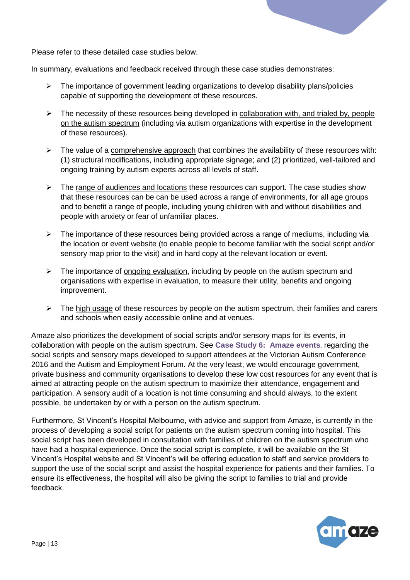

Please refer to these detailed case studies below.

In summary, evaluations and feedback received through these case studies demonstrates:

- $\triangleright$  The importance of government leading organizations to develop disability plans/policies capable of supporting the development of these resources.
- $\triangleright$  The necessity of these resources being developed in collaboration with, and trialed by, people on the autism spectrum (including via autism organizations with expertise in the development of these resources).
- $\triangleright$  The value of a comprehensive approach that combines the availability of these resources with: (1) structural modifications, including appropriate signage; and (2) prioritized, well-tailored and ongoing training by autism experts across all levels of staff.
- $\triangleright$  The range of audiences and locations these resources can support. The case studies show that these resources can be can be used across a range of environments, for all age groups and to benefit a range of people, including young children with and without disabilities and people with anxiety or fear of unfamiliar places.
- $\triangleright$  The importance of these resources being provided across a range of mediums, including via the location or event website (to enable people to become familiar with the social script and/or sensory map prior to the visit) and in hard copy at the relevant location or event.
- $\triangleright$  The importance of ongoing evaluation, including by people on the autism spectrum and organisations with expertise in evaluation, to measure their utility, benefits and ongoing improvement.
- $\triangleright$  The high usage of these resources by people on the autism spectrum, their families and carers and schools when easily accessible online and at venues.

Amaze also prioritizes the development of social scripts and/or sensory maps for its events, in collaboration with people on the autism spectrum. See **[Case Study 6: Amaze events](#page-21-1)**, regarding the social scripts and sensory maps developed to support attendees at the Victorian Autism Conference 2016 and the Autism and Employment Forum. At the very least, we would encourage government, private business and community organisations to develop these low cost resources for any event that is aimed at attracting people on the autism spectrum to maximize their attendance, engagement and participation. A sensory audit of a location is not time consuming and should always, to the extent possible, be undertaken by or with a person on the autism spectrum.

Furthermore, St Vincent's Hospital Melbourne, with advice and support from Amaze, is currently in the process of developing a social script for patients on the autism spectrum coming into hospital. This social script has been developed in consultation with families of children on the autism spectrum who have had a hospital experience. Once the social script is complete, it will be available on the St Vincent's Hospital website and St Vincent's will be offering education to staff and service providers to support the use of the social script and assist the hospital experience for patients and their families. To ensure its effectiveness, the hospital will also be giving the script to families to trial and provide feedback.

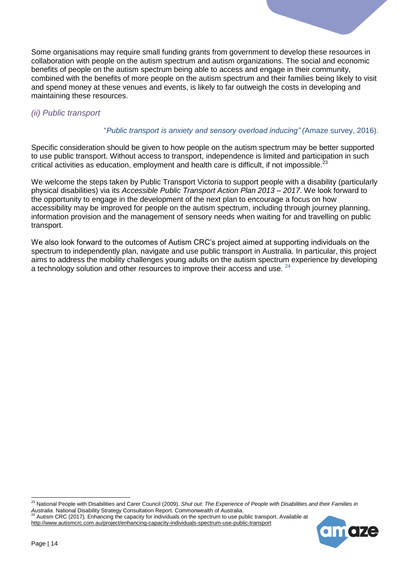Some organisations may require small funding grants from government to develop these resources in collaboration with people on the autism spectrum and autism organizations. The social and economic benefits of people on the autism spectrum being able to access and engage in their community, combined with the benefits of more people on the autism spectrum and their families being likely to visit and spend money at these venues and events, is likely to far outweigh the costs in developing and maintaining these resources.

#### *(ii) Public transport*

#### "*Public transport is anxiety and sensory overload inducing" (*Amaze survey, 2016).

Specific consideration should be given to how people on the autism spectrum may be better supported to use public transport. Without access to transport, independence is limited and participation in such critical activities as education, employment and health care is difficult, if not impossible.<sup>23</sup>

We welcome the steps taken by Public Transport Victoria to support people with a disability (particularly physical disabilities) via its *Accessible Public Transport Action Plan 2013 – 2017*. We look forward to the opportunity to engage in the development of the next plan to encourage a focus on how accessibility may be improved for people on the autism spectrum, including through journey planning, information provision and the management of sensory needs when waiting for and travelling on public transport.

We also look forward to the outcomes of Autism CRC's project aimed at supporting individuals on the spectrum to independently plan, navigate and use public transport in Australia. In particular, this project aims to address the mobility challenges young adults on the autism spectrum experience by developing a technology solution and other resources to improve their access and use.  $24$ 

<sup>23</sup> National People with Disabilities and Carer Council (2009). *Shut out: The Experience of People with Disabilities and their Families in Australia*. National Disability Strategy Consultation Report. Commonwealth of Australia.<br><sup>24</sup> Aution CDC (2013). <sup>24</sup> Autism CRC (2017). Enhancing the capacity for individuals on the spectrum to use public transport. Available at

<http://www.autismcrc.com.au/project/enhancing-capacity-individuals-spectrum-use-public-transport>

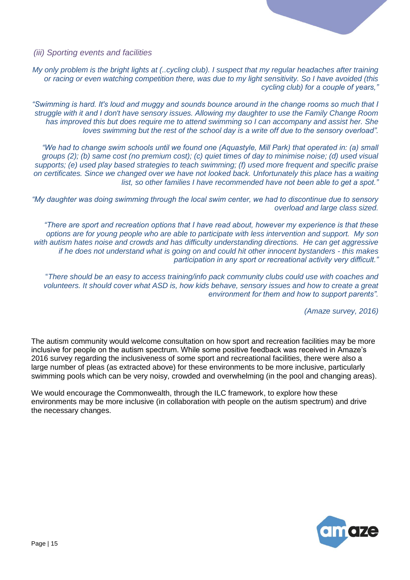*(iii) Sporting events and facilities*

*My only problem is the bright lights at (..cycling club). I suspect that my regular headaches after training or racing or even watching competition there, was due to my light sensitivity. So I have avoided (this cycling club) for a couple of years,"*

*"Swimming is hard. It's loud and muggy and sounds bounce around in the change rooms so much that I struggle with it and I don't have sensory issues. Allowing my daughter to use the Family Change Room has improved this but does require me to attend swimming so I can accompany and assist her. She loves swimming but the rest of the school day is a write off due to the sensory overload".*

*"We had to change swim schools until we found one (Aquastyle, Mill Park) that operated in: (a) small groups (2); (b) same cost (no premium cost); (c) quiet times of day to minimise noise; (d) used visual supports; (e) used play based strategies to teach swimming; (f) used more frequent and specific praise on certificates. Since we changed over we have not looked back. Unfortunately this place has a waiting list, so other families I have recommended have not been able to get a spot."*

*"My daughter was doing swimming through the local swim center, we had to discontinue due to sensory overload and large class sized.* 

*"There are sport and recreation options that I have read about, however my experience is that these options are for young people who are able to participate with less intervention and support. My son with autism hates noise and crowds and has difficulty understanding directions. He can get aggressive if he does not understand what is going on and could hit other innocent bystanders - this makes participation in any sport or recreational activity very difficult."*

"*There should be an easy to access training/info pack community clubs could use with coaches and volunteers. It should cover what ASD is, how kids behave, sensory issues and how to create a great environment for them and how to support parents".*

*(Amaze survey, 2016)*

The autism community would welcome consultation on how sport and recreation facilities may be more inclusive for people on the autism spectrum. While some positive feedback was received in Amaze's 2016 survey regarding the inclusiveness of some sport and recreational facilities, there were also a large number of pleas (as extracted above) for these environments to be more inclusive, particularly swimming pools which can be very noisy, crowded and overwhelming (in the pool and changing areas).

We would encourage the Commonwealth, through the ILC framework, to explore how these environments may be more inclusive (in collaboration with people on the autism spectrum) and drive the necessary changes.

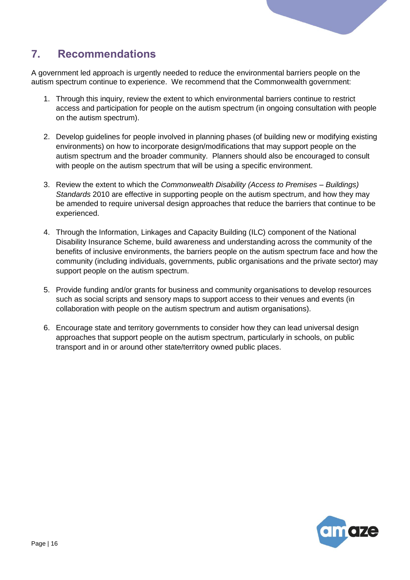

# <span id="page-15-0"></span>**7. Recommendations**

A government led approach is urgently needed to reduce the environmental barriers people on the autism spectrum continue to experience. We recommend that the Commonwealth government:

- 1. Through this inquiry, review the extent to which environmental barriers continue to restrict access and participation for people on the autism spectrum (in ongoing consultation with people on the autism spectrum).
- 2. Develop guidelines for people involved in planning phases (of building new or modifying existing environments) on how to incorporate design/modifications that may support people on the autism spectrum and the broader community. Planners should also be encouraged to consult with people on the autism spectrum that will be using a specific environment.
- 3. Review the extent to which the *Commonwealth Disability (Access to Premises – Buildings) Standards* 2010 are effective in supporting people on the autism spectrum, and how they may be amended to require universal design approaches that reduce the barriers that continue to be experienced.
- 4. Through the Information, Linkages and Capacity Building (ILC) component of the National Disability Insurance Scheme, build awareness and understanding across the community of the benefits of inclusive environments, the barriers people on the autism spectrum face and how the community (including individuals, governments, public organisations and the private sector) may support people on the autism spectrum.
- 5. Provide funding and/or grants for business and community organisations to develop resources such as social scripts and sensory maps to support access to their venues and events (in collaboration with people on the autism spectrum and autism organisations).
- 6. Encourage state and territory governments to consider how they can lead universal design approaches that support people on the autism spectrum, particularly in schools, on public transport and in or around other state/territory owned public places.

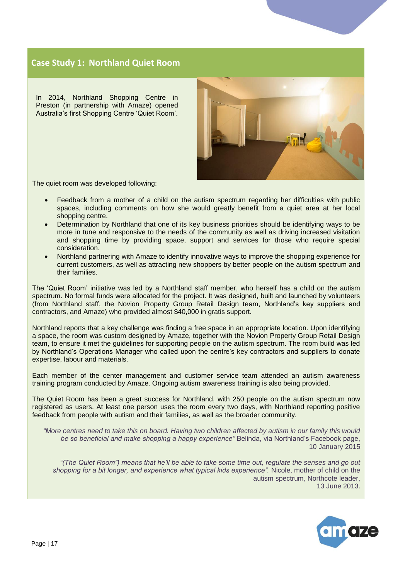#### <span id="page-16-0"></span>**Case Study 1: Northland Quiet Room**

In 2014, Northland Shopping Centre in Preston (in partnership with Amaze) opened Australia's first Shopping Centre 'Quiet Room'.



The quiet room was developed following:

- Feedback from a mother of a child on the autism spectrum regarding her difficulties with public spaces, including comments on how she would greatly benefit from a quiet area at her local shopping centre.
- Determination by Northland that one of its key business priorities should be identifying ways to be more in tune and responsive to the needs of the community as well as driving increased visitation and shopping time by providing space, support and services for those who require special consideration.
- Northland partnering with Amaze to identify innovative ways to improve the shopping experience for current customers, as well as attracting new shoppers by better people on the autism spectrum and their families.

The 'Quiet Room' initiative was led by a Northland staff member, who herself has a child on the autism spectrum. No formal funds were allocated for the project. It was designed, built and launched by volunteers (from Northland staff, the Novion Property Group Retail Design team, Northland's key suppliers and contractors, and Amaze) who provided almost \$40,000 in gratis support.

Northland reports that a key challenge was finding a free space in an appropriate location. Upon identifying a space, the room was custom designed by Amaze, together with the Novion Property Group Retail Design team, to ensure it met the guidelines for supporting people on the autism spectrum. The room build was led by Northland's Operations Manager who called upon the centre's key contractors and suppliers to donate expertise, labour and materials.

Each member of the center management and customer service team attended an autism awareness training program conducted by Amaze. Ongoing autism awareness training is also being provided.

The Quiet Room has been a great success for Northland, with 250 people on the autism spectrum now registered as users. At least one person uses the room every two days, with Northland reporting positive feedback from people with autism and their families, as well as the broader community.

*"More centres need to take this on board. Having two children affected by autism in our family this would be so beneficial and make shopping a happy experience"* Belinda, via Northland's Facebook page, 10 January 2015

*"(The Quiet Room") means that he'll be able to take some time out, regulate the senses and go out shopping for a bit longer, and experience what typical kids experience".* Nicole, mother of child on the autism spectrum, Northcote leader, 13 June 2013.

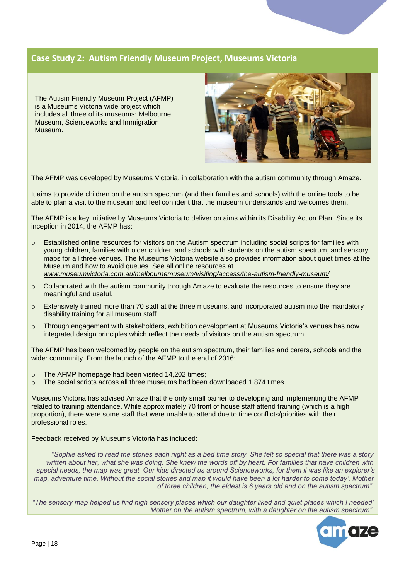#### <span id="page-17-0"></span>**Case Study 2: Autism Friendly Museum Project, Museums Victoria**

The Autism Friendly Museum Project (AFMP) is a Museums Victoria wide project which includes all three of its museums: Melbourne Museum, Scienceworks and Immigration Museum.



The AFMP was developed by Museums Victoria, in collaboration with the autism community through Amaze.

It aims to provide children on the autism spectrum (and their families and schools) with the online tools to be able to plan a visit to the museum and feel confident that the museum understands and welcomes them.

The AFMP is a key initiative by Museums Victoria to deliver on aims within its Disability Action Plan. Since its inception in 2014, the AFMP has:

- o Established online resources for visitors on the Autism spectrum including social scripts for families with young children, families with older children and schools with students on the autism spectrum, and sensory maps for all three venues. The Museums Victoria website also provides information about quiet times at the Museum and how to avoid queues. See all online resources at *[www.museumvictoria.com.au/melbournemuseum/visiting/access/the-autism-friendly-museum/](http://www.museumvictoria.com.au/melbournemuseum/visiting/access/the-autism-friendly-museum/)*
- $\circ$  Collaborated with the autism community through Amaze to evaluate the resources to ensure they are meaningful and useful.
- $\circ$  Extensively trained more than 70 staff at the three museums, and incorporated autism into the mandatory disability training for all museum staff.
- $\circ$  Through engagement with stakeholders, exhibition development at Museums Victoria's venues has now integrated design principles which reflect the needs of visitors on the autism spectrum.

The AFMP has been welcomed by people on the autism spectrum, their families and carers, schools and the wider community. From the launch of the AFMP to the end of 2016:

- o The AFMP homepage had been visited 14,202 times;
- o The social scripts across all three museums had been downloaded 1,874 times.

Museums Victoria has advised Amaze that the only small barrier to developing and implementing the AFMP related to training attendance. While approximately 70 front of house staff attend training (which is a high proportion), there were some staff that were unable to attend due to time conflicts/priorities with their professional roles.

Feedback received by Museums Victoria has included:

"*Sophie asked to read the stories each night as a bed time story. She felt so special that there was a story written about her, what she was doing. She knew the words off by heart. For families that have children with special needs, the map was great. Our kids directed us around Scienceworks, for them it was like an explorer's map, adventure time. Without the social stories and map it would have been a lot harder to come today'. Mother of three children, the eldest is 6 years old and on the autism spectrum".*

*"The sensory map helped us find high sensory places which our daughter liked and quiet places which I needed' Mother on the autism spectrum, with a daughter on the autism spectrum".*

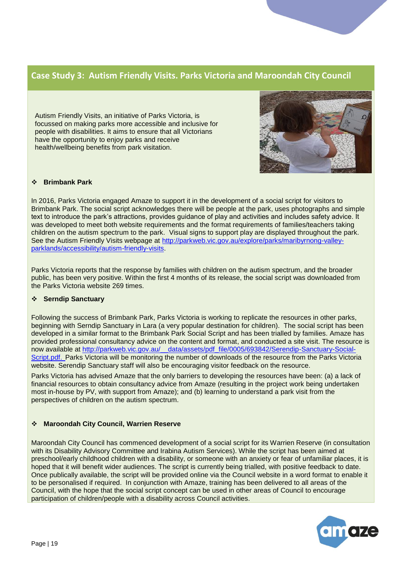#### <span id="page-18-0"></span>**Case Study 3: Autism Friendly Visits. Parks Victoria and Maroondah City Council**

Autism Friendly Visits, an initiative of Parks Victoria, is focussed on making parks more accessible and inclusive for people with disabilities. It aims to ensure that all Victorians have the opportunity to enjoy parks and receive health/wellbeing benefits from park visitation.



#### **Brimbank Park**

In 2016, Parks Victoria engaged Amaze to support it in the development of a social script for visitors to Brimbank Park. The social script acknowledges there will be people at the park, uses photographs and simple text to introduce the park's attractions, provides guidance of play and activities and includes safety advice. It was developed to meet both website requirements and the format requirements of families/teachers taking children on the autism spectrum to the park. Visual signs to support play are displayed throughout the park. See the Autism Friendly Visits webpage at [http://parkweb.vic.gov.au/explore/parks/maribyrnong-valley](http://parkweb.vic.gov.au/explore/parks/maribyrnong-valley-parklands/accessibility/autism-friendly-visits)[parklands/accessibility/autism-friendly-visits.](http://parkweb.vic.gov.au/explore/parks/maribyrnong-valley-parklands/accessibility/autism-friendly-visits)

Parks Victoria reports that the response by families with children on the autism spectrum, and the broader public, has been very positive. Within the first 4 months of its release, the social script was downloaded from the Parks Victoria website 269 times.

#### **Serndip Sanctuary**

Following the success of Brimbank Park, Parks Victoria is working to replicate the resources in other parks, beginning with Serndip Sanctuary in Lara (a very popular destination for children). The social script has been developed in a similar format to the Brimbank Park Social Script and has been trialled by families. Amaze has provided professional consultancy advice on the content and format, and conducted a site visit. The resource is now available at [http://parkweb.vic.gov.au/\\_\\_data/assets/pdf\\_file/0005/693842/Serendip-Sanctuary-Social-](http://parkweb.vic.gov.au/__data/assets/pdf_file/0005/693842/Serendip-Sanctuary-Social-Script.pdf)[Script.pdf.](http://parkweb.vic.gov.au/__data/assets/pdf_file/0005/693842/Serendip-Sanctuary-Social-Script.pdf) Parks Victoria will be monitoring the number of downloads of the resource from the Parks Victoria website. Serendip Sanctuary staff will also be encouraging visitor feedback on the resource.

Parks Victoria has advised Amaze that the only barriers to developing the resources have been: (a) a lack of financial resources to obtain consultancy advice from Amaze (resulting in the project work being undertaken most in-house by PV, with support from Amaze); and (b) learning to understand a park visit from the perspectives of children on the autism spectrum.

#### **Maroondah City Council, Warrien Reserve**

Maroondah City Council has commenced development of a social script for its Warrien Reserve (in consultation with its Disability Advisory Committee and Irabina Autism Services). While the script has been aimed at preschool/early childhood children with a disability, or someone with an anxiety or fear of unfamiliar places, it is hoped that it will benefit wider audiences. The script is currently being trialled, with positive feedback to date. Once publically available, the script will be provided online via the Council website in a word format to enable it to be personalised if required. In conjunction with Amaze, training has been delivered to all areas of the Council, with the hope that the social script concept can be used in other areas of Council to encourage participation of children/people with a disability across Council activities.

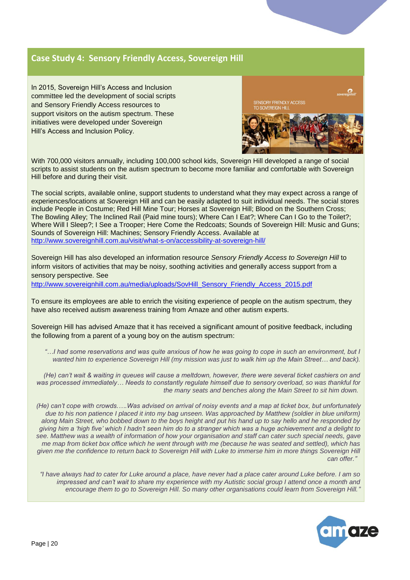#### <span id="page-19-0"></span>**Case Study 4: Sensory Friendly Access, Sovereign Hill**

In 2015, Sovereign Hill's Access and Inclusion committee led the development of social scripts and Sensory Friendly Access resources to support visitors on the autism spectrum. These initiatives were developed under Sovereign Hill's Access and Inclusion Policy.



With 700,000 visitors annually, including 100,000 school kids, Sovereign Hill developed a range of social scripts to assist students on the autism spectrum to become more familiar and comfortable with Sovereign Hill before and during their visit.

The social scripts, available online, support students to understand what they may expect across a range of experiences/locations at Sovereign Hill and can be easily adapted to suit individual needs. The social stores include People in Costume; Red Hill Mine Tour; Horses at Sovereign Hill; Blood on the Southern Cross; The Bowling Alley; The Inclined Rail (Paid mine tours); Where Can I Eat?; Where Can I Go to the Toilet?; Where Will I Sleep?; I See a Trooper; Here Come the Redcoats; Sounds of Sovereign Hill: Music and Guns; Sounds of Sovereign Hill: Machines; Sensory Friendly Access. Available at <http://www.sovereignhill.com.au/visit/what-s-on/accessibility-at-sovereign-hill/>

Sovereign Hill has also developed an information resource *Sensory Friendly Access to Sovereign Hill* to inform visitors of activities that may be noisy, soothing activities and generally access support from a sensory perspective. See

[http://www.sovereignhill.com.au/media/uploads/SovHill\\_Sensory\\_Friendly\\_Access\\_2015.pdf](http://www.sovereignhill.com.au/media/uploads/SovHill_Sensory_Friendly_Access_2015.pdf)

To ensure its employees are able to enrich the visiting experience of people on the autism spectrum, they have also received autism awareness training from Amaze and other autism experts.

Sovereign Hill has advised Amaze that it has received a significant amount of positive feedback, including the following from a parent of a young boy on the autism spectrum:

*"…I had some reservations and was quite anxious of how he was going to cope in such an environment, but I wanted him to experience Sovereign Hill (my mission was just to walk him up the Main Street… and back).* 

*(He) can't wait & waiting in queues will cause a meltdown, however, there were several ticket cashiers on and was processed immediately… Needs to constantly regulate himself due to sensory overload, so was thankful for the many seats and benches along the Main Street to sit him down.*

*(He) can't cope with crowds.….Was advised on arrival of noisy events and a map at ticket box, but unfortunately due to his non patience I placed it into my bag unseen. Was approached by Matthew (soldier in blue uniform) along Main Street, who bobbed down to the boys height and put his hand up to say hello and he responded by giving him a 'high five' which I hadn't seen him do to a stranger which was a huge achievement and a delight to see. Matthew was a wealth of information of how your organisation and staff can cater such special needs, gave me map from ticket box office which he went through with me (because he was seated and settled), which has given me the confidence to return back to Sovereign Hill with Luke to immerse him in more things Sovereign Hill can offer."*

*"I have always had to cater for Luke around a place, have never had a place cater around Luke before. I am so impressed and can't wait to share my experience with my Autistic social group I attend once a month and encourage them to go to Sovereign Hill. So many other organisations could learn from Sovereign Hill."*

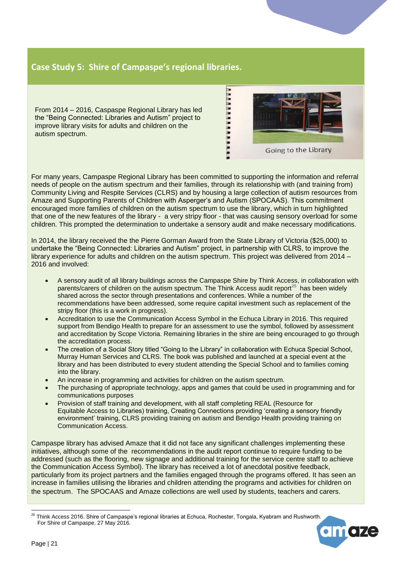#### <span id="page-20-0"></span>**Case Study 5: Shire of Campaspe's regional libraries.**

From 2014 – 2016, Caspaspe Regional Library has led the "Being Connected: Libraries and Autism" project to improve library visits for adults and children on the autism spectrum.

For many years, Campaspe Regional Library has been committed to supporting the information and referral needs of people on the autism spectrum and their families, through its relationship with (and training from) Community Living and Respite Services (CLRS) and by housing a large collection of autism resources from Amaze and Supporting Parents of Children with Asperger's and Autism (SPOCAAS). This commitment encouraged more families of children on the autism spectrum to use the library, which in turn highlighted that one of the new features of the library - a very stripy floor - that was causing sensory overload for some children. This prompted the determination to undertake a sensory audit and make necessary modifications.

. . . . . . . . . . . . . . . . .

Going to the Library

In 2014, the library received the the Pierre Gorman Award from the State Library of Victoria (\$25,000) to undertake the "Being Connected: Libraries and Autism" project, in partnership with CLRS, to improve the library experience for adults and children on the autism spectrum. This project was delivered from 2014 – 2016 and involved:

- A sensory audit of all library buildings across the Campaspe Shire by Think Access, in collaboration with parents/carers of children on the autism spectrum. The Think Access audit report<sup>25</sup> has been widely shared across the sector through presentations and conferences. While a number of the recommendations have been addressed, some require capital investment such as replacement of the stripy floor (this is a work in progress).
- Accreditation to use the Communication Access Symbol in the Echuca Library in 2016. This required support from Bendigo Health to prepare for an assessment to use the symbol, followed by assessment and accreditation by Scope Victoria. Remaining libraries in the shire are being encouraged to go through the accreditation process.
- The creation of a Social Story titled "Going to the Library" in collaboration with Echuca Special School, Murray Human Services and CLRS. The book was published and launched at a special event at the library and has been distributed to every student attending the Special School and to families coming into the library.
- An increase in programming and activities for children on the autism spectrum.
- The purchasing of appropriate technology, apps and games that could be used in programming and for communications purposes
- Provision of staff training and development, with all staff completing REAL (Resource for Equitable Access to Libraries) training, Creating Connections providing 'creating a sensory friendly environment' training, CLRS providing training on autism and Bendigo Health providing training on Communication Access.

Campaspe library has advised Amaze that it did not face any significant challenges implementing these initiatives, although some of the recommendations in the audit report continue to require funding to be addressed (such as the flooring, new signage and additional training for the service centre staff to achieve the Communication Access Symbol). The library has received a lot of anecdotal positive feedback, particularly from its project partners and the families engaged through the programs offered. It has seen an increase in families utilising the libraries and children attending the programs and activities for children on the spectrum. The SPOCAAS and Amaze collections are well used by students, teachers and carers.

<sup>-</sup><sup>25</sup> Think Access 2016. Shire of Campaspe's regional libraries at Echuca, Rochester, Tongala, Kyabram and Rushworth. For Shire of Campaspe. 27 May 2016.